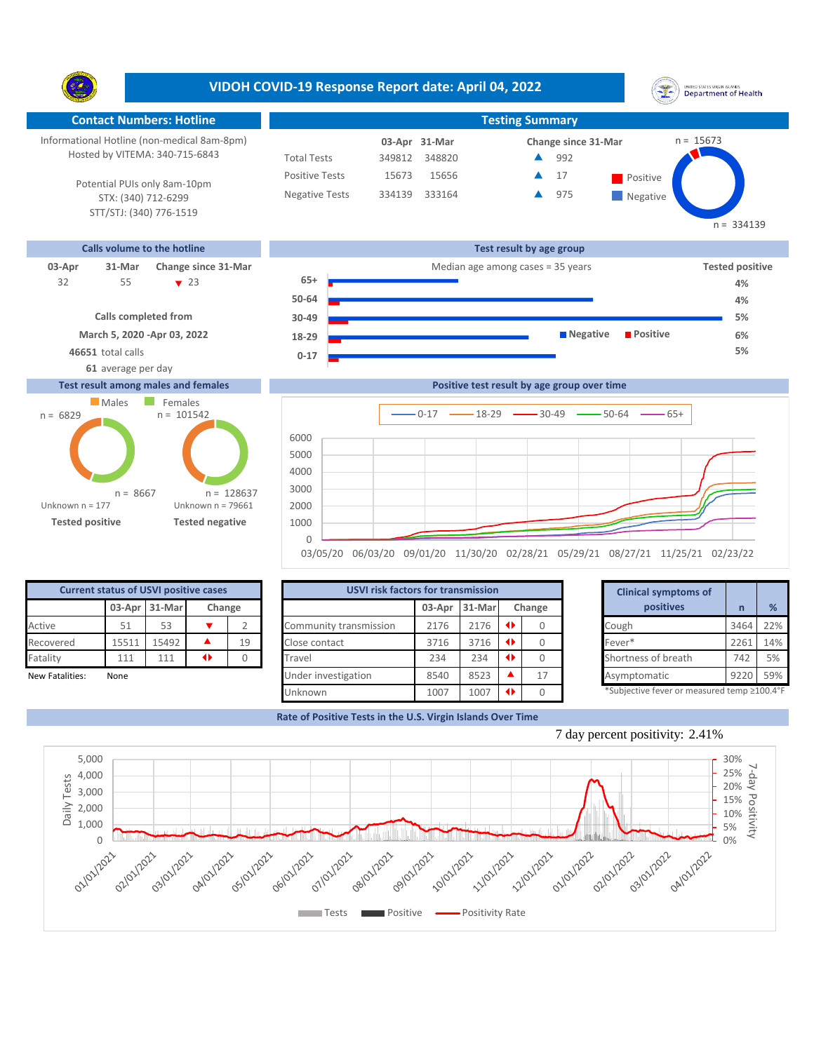**VIDOH COVID-19 Response Report date: April 04, 2022** UNITED STATES VIRGIN SLANDS<br>Department of Health Y. **Contact Numbers: Hotline Testing Summary** Informational Hotline (non-medical 8am-8pm) n = 15673 **03-Apr Change since 31-Mar 31-Mar** Hosted by VITEMA: 340-715-6843 Total Tests 349812 348820 992 ▲ Positive Tests 15656 **A** 17 **Positive**  $\blacktriangle$ 17 15673 Potential PUIs only 8am-10pm Negative Tests 334139 333164 975 ▲ **Negative** STX: (340) 712-6299 STT/STJ: (340) 776-1519  $n = 334139$ **Calls volume to the hotline Test result by age group 03-Apr 31-Mar Change since 31-Mar** Median age among cases = 35 years **Tested positive 65+** 55 ▼ 23 32 **4% 50-64 Calls completed from 30-49**

> **0-17 18-29**

## **March 5, 2020 -Apr 03, 2022**

**61** average per day

**46651** total calls **5%**

## **Test result among males and females**



|      |  | Positive test result by age group over time                                                           |  |  |
|------|--|-------------------------------------------------------------------------------------------------------|--|--|
|      |  | $-0.17$ $\longrightarrow$ 18-29 $\longrightarrow$ 30-49 $\longrightarrow$ 50-64 $\longrightarrow$ 65+ |  |  |
| 6000 |  |                                                                                                       |  |  |
| 5000 |  |                                                                                                       |  |  |
| 4000 |  |                                                                                                       |  |  |
| 3000 |  |                                                                                                       |  |  |
| 2000 |  |                                                                                                       |  |  |
| 1000 |  |                                                                                                       |  |  |
|      |  |                                                                                                       |  |  |

03/05/20 06/03/20 09/01/20 11/30/20 02/28/21 05/29/21 08/27/21 11/25/21 02/23/22

| <b>Current status of USVI positive cases</b> |       |               |        |    |  |  |  |  |  |
|----------------------------------------------|-------|---------------|--------|----|--|--|--|--|--|
|                                              |       | 03-Apr 31-Mar | Change |    |  |  |  |  |  |
| Active                                       | 51    | 53            |        | 2  |  |  |  |  |  |
| Recovered                                    | 15511 | 15492         |        | 19 |  |  |  |  |  |
| Fatality                                     | 111   | 111           |        |    |  |  |  |  |  |
| New Fatalities:                              | None  |               |        |    |  |  |  |  |  |

|                 | <b>Current status of USVI positive cases</b> |               |    |        |                                    |        |        |        |                                            |      |               |
|-----------------|----------------------------------------------|---------------|----|--------|------------------------------------|--------|--------|--------|--------------------------------------------|------|---------------|
|                 |                                              | 03-Apr 31-Mar |    | Change | USVI risk factors for transmission | 03-Apr | 31-Mar | Change | <b>Clinical symptoms of</b><br>positives   |      | $\frac{9}{6}$ |
| Active          | 51                                           | 53            |    |        | Community transmission             | 2176   | 2176   |        | Cough                                      | 3464 | 22%           |
| Recovered       | 15511                                        | 5492          |    | 19     | Close contact                      | 3716   | 3716   |        | Fever*                                     | 226: | 14%           |
| Fatality        | 111                                          | 111           | 41 |        | Travel                             | 234    | 234    |        | Shortness of breath                        | 742  | 5%            |
| New Fatalities: | None                                         |               |    |        | Under investigation                | 8540   | 8523   |        | Asymptomatic                               | 9220 | 59%           |
|                 |                                              |               |    |        | Unknown                            | 1007   | 1007   |        | *Subjective fever or measured temp ≥100.4° |      |               |

|        | for transmission |   |          | <b>Clinical symptoms of</b>                 |      |     |
|--------|------------------|---|----------|---------------------------------------------|------|-----|
| 03-Apr | 31-Marl          |   | Change   | positives                                   | n    | %   |
| 2176   | 2176             | Œ | 0        | Cough                                       | 3464 | 22% |
| 3716   | 3716             | ◆ | 0        | Fever*                                      | 2261 | 14% |
| 234    | 234              | ◆ | $\Omega$ | Shortness of breath                         | 742  | 5%  |
| 8540   | 8523             |   | 17       | Asymptomatic                                | 9220 | 59% |
| 1007   | 1007             | O | 0        | *Subjective fever or measured temp ≥100.4°F |      |     |

**4% 5% 6%**

**Rate of Positive Tests in the U.S. Virgin Islands Over Time**



**Negative Positive**